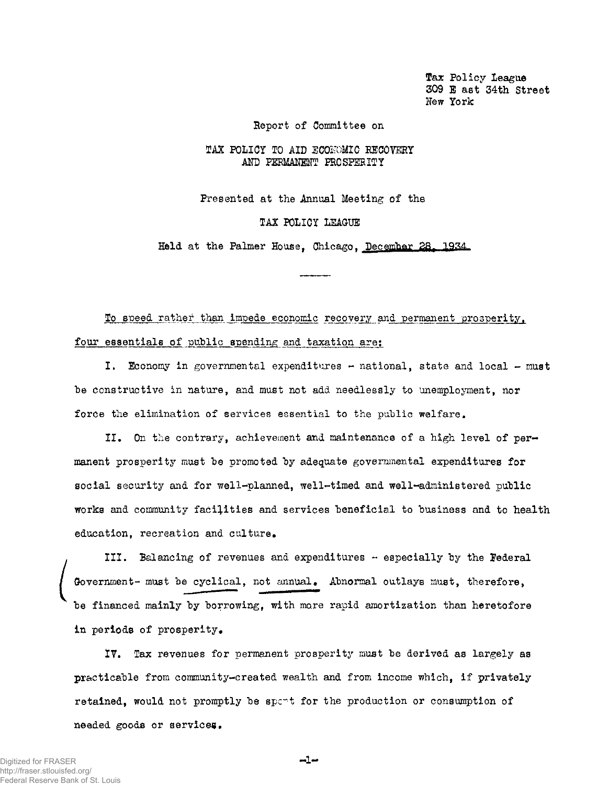Tax Policy League 309 E ast 34th Street New York

Report of Committee on

## TAX POLICY TO AID ECONOMIC RECOVERY AND PERMANENT PROSPERITY

Presented at the Annual Meeting of the

## TAX POLICY LEAGUE

Held at the Palmer House. Chicago. December 28, 1934

To speed rather than impede economic recovery and permanent prosperity, four essentials of public spending and taxation are:

I. Economy in governmental expenditures - national, state and local - must he constructive in nature, and must not add needlessly to unemployment, nor force the elimination of services essential to the public welfare.

II. On the contrary, achievement and maintenance of a high level of permanent prosperity must be promoted by adequate governmental expenditures for social security and for well-planned, well-timed and well-administered public works and community facilities and services beneficial to business and to health education, recreation and culture.

III. Balancing of revenues and expenditures - especially by the Federal Government- must be cyclical, not annual. Abnormal outlays must, therefore, he financed mainly by borrowing, with more rapid amortization than heretofore in periods of prosperity.

IV. Tax revenues for permanent prosperity must be derived as largely as practicable from community-created wealth and from income which, if privately retained, would not promptly be sport for the production or consumption of needed goods or services.

 $-1-$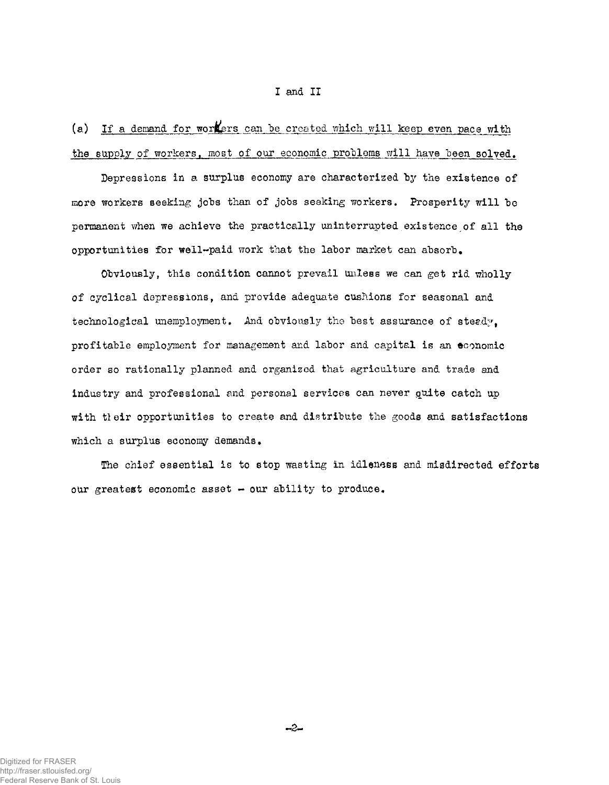## I and II

(a) If a demand for workers can be created which will keep even pace with the supply of workers, most of our economic problems will have been solved.

Depressions in a surplus economy are characterized by the existence of more workers seeking jobs than of jobs seeking workers. Prosperity will be permanent when we achieve the practically uninterrupted existence of all the opportunities for well-paid work that the labor market can absorb.

Obviously, this condition cannot prevail unless we can get rid wholly of cyclical depressions, and provide adequate cushions for seasonal and technological unemployment. And obviously the best assurance of steedy, profitable employment for management and labor and capital is an economic order so rationally planned and organized that agriculture and trade and industry and professional and personal services can never quite catch up with tleir opportunities to create and dietribute the goods and satisfactions which a surplus economy demands.

The chief essential is to stop wasting in idleness and misdirected efforts our greatest economic asset  $-$  our ability to produce.

-2-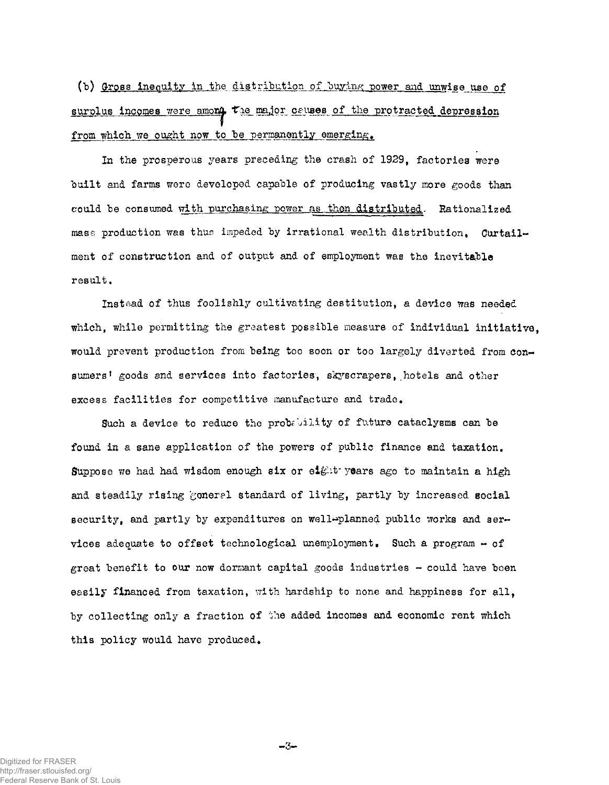(b) Gross inequity in the distribution of buying power and unwise use of surplus incomes were among the major causes of the protracted depression from which we ought now to be permanently emerging.

In the prosperous years preceding the crash of 1929, factories were built and farms were developed capable of producing vastly more goods than could be consumed with purchasing power as then distributed, Rationalized mass production was thus impeded by irrational wealth distribution. Curtailment of construction and of output and of employment was the inevitable result.

Instead of thus foolishly cultivating destitution, a device was needed which, while permitting the greatest possible measure of individual initiative. would prevent production from being too soon or too largely diverted from consumers' goods and services into factories, skyscrapers, hotels and other excess facilities for competitive manufacture and trade.

Such a device to reduce the probelity of future cataclysms can be found in a sane application of the powers of public finance and taxation. Suppose we had had wisdom enough six or eight- years ago to maintain a high and steadily rising general standard of living, partly by increased social security, and partly by expenditures on well-planned public works and services adequate to offset technological unemployment. Such a program - of great benefit to our now dormant capital goods industries  $-$  could have been easily financed from taxation, with hardship to none and happiness for all, by collecting only a fraction of the added incomes and economic rent which this policy would have produced.

Digitized for FRASER http://fraser.stlouisfed.org/ Federal Reserve Bank of St. Louis -3-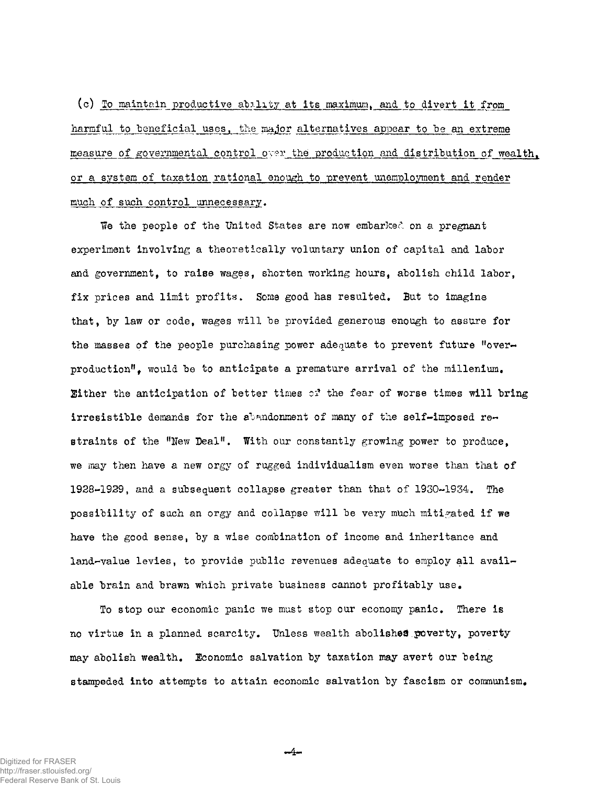(c) To maintain productive ability at its maximum, and to divert it from harmful to beneficial uses, the major alternatives appear to be an extreme measure of governmental control over the production and distribution of wealth. or a system of taxation rational enough to prevent unemployment and render much of such control unnecessary.

We the people of the United States are now embarked on a pregnant experiment involving a theoretically voluntary union of capital and labor and government, to raise wages, shorten working hours, abolish child labor, fix prices and limit profits. Some good has resulted. But to imagine that, by law or code, wages will be provided generous enough to assure for the masses of the people purchasing power adequate to prevent future "overproduction". would be to anticipate a premature arrival of the millenium. Either the anticipation of better times of the fear of worse times will bring irresistible demands for the abandonment of many of the self-imposed restraints of the "New Deal". With our constantly growing power to produce, we may then have a new orgy of rugged individualism even worse than that of 1928-1929, and a subsequent collapse greater than that of 1930-1934, The possibility of such an orgy and collapse will be very much mitigated if we have the good sense, by a wise combination of income and inheritance and land-value levies, to provide public revenues adequate to employ all available brain and brawn which private business cannot profitably use.

To stop our economic panic we must stop our economy panic. There is no virtue in a planned scarcity. Unless wealth abolished poverty, poverty may abolish wealth. Economic salvation by taxation may avert our being stampeded into attempts to attain economic salvation by fascism or communism.

 $-4-$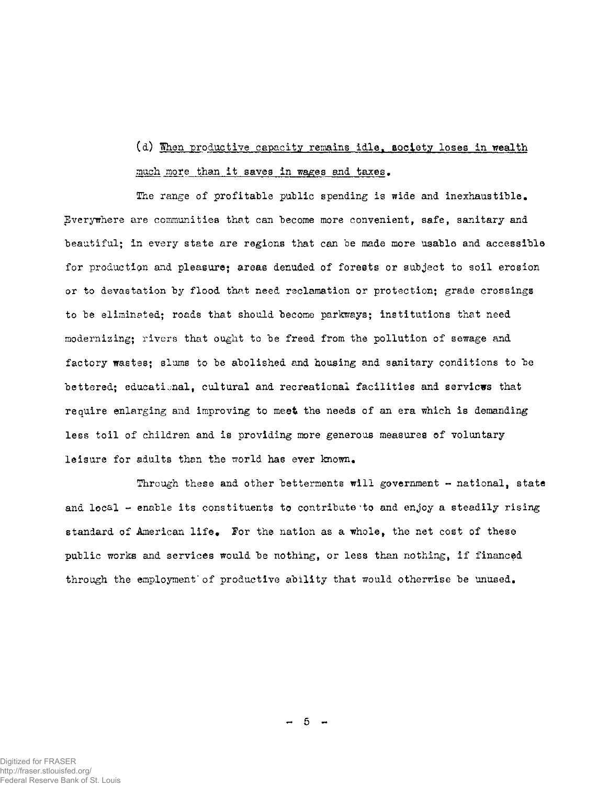(d) When productive capacity remains idle, society loses in wealth much more than it saves in wages and taxes.

The range of profitable public spending is wide and inexhaustible. Everywhere are communities that can become more convenient, safe, sanitary and beautiful; in every state are regions that can be made more usable and accessible for production and pleasure: areas denuded of forests or subject to soil erosion or to devastation by flood that need reclamation or protection; grade crossings to be eliminated; roads that should become parkways; institutions that need modernising; rivers that ought to be freed from the pollution of sewage and factory wastes; slums to be abolished and housing and sanitary conditions to be bettered; educational, cultural and recreational facilities and servicus that require enlarging and improving to meet the needs of an era which is demanding less toil of children and is providing more generous measures of voluntary leisure for adults than the world has ever known.

Through these and other betterments will government  $-$  national, state and local  $-$  enable its constituents to contribute to and enjoy a steadily rising standard of American life. For the nation as a whole, the net cost of these public works and services would be nothing, or less than nothing, if financed through the employment of productive ability that would otherwise be unused.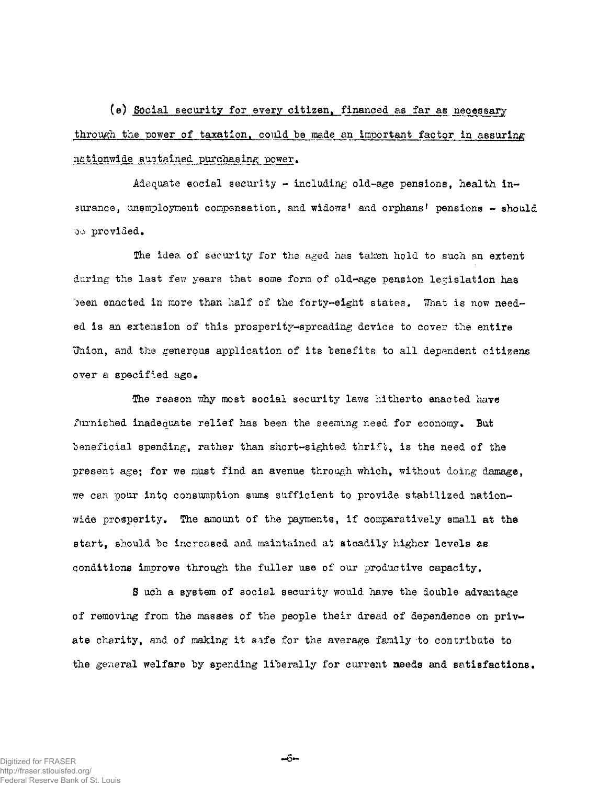(e) Social security for every citizen, financed as far as necessary through the power of taxation, could be made an important factor in assuring nationwide sustained purchasing power.

Adequate social security - including old-age pensions, health insurance, unemployment compensation, and widows' and orphans' pensions - should oo provided.

The idea of security for the aged has taken hold to such an extent during the last few years that some form of old-age pension legislation has been enacted in more than half of the forty-eight states. What is now needed is an extension of this prosperity-spreading device to cover the entire Union, and the generous application of its benefits to all dependent citizens over a specified ago.

The reason why most social security laws hitherto enacted have furnished inadequate relief has been the seeming need for economy. But beneficial spending, rather than short-sighted thrift, is the need of the present age; for we must find an avenue through which, without doing damage, we can pour into consumption sums sufficient to provide stabilized nationwide prosperity. The amount of the payments, if comparatively small at the start, should be increased and maintained at steadily higher levels as conditions improve through the fuller use of our productive capacity.

S uch a system of social security would have the double advantage of removing from the masses of the people their dread of dependence on private charity, and of making it sife for the average family to contribute to the general welfare by spending liberally for current needs and satisfactions.

--6⊷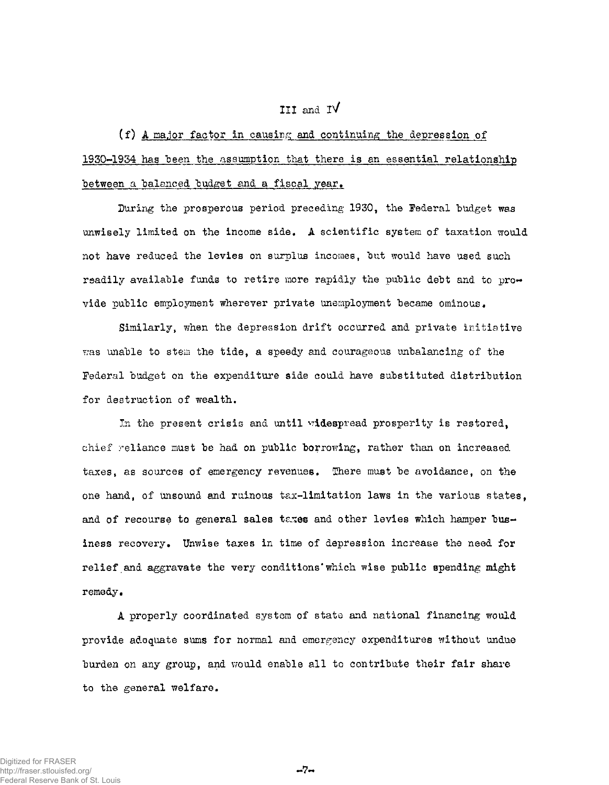## III and IV

(f) A major factor in causing and continuing the depression of 1930-1934 has been the assumption that there is an essential relationship between a balanced budget and a fiscal year.

During the prosperous period preceding 1930, the Federal budget was unwisely limited on the income side. A scientific system of taxation would not have reduced the levies on surplus incomes, but would have used such readily available funds to retire more rapidly the public debt and to provide public employment wherever private unemployment became ominous.

Similarly, when the depression drift occurred and private initiative was unable to stem the tide, a speedy and courageous unbalancing of the Federal budget on the expenditure side could have substituted distribution for destruction of wealth.

In the present crisis and until widespread prosperity is restored, chief reliance must be had on public borrowing, rather than on increased taxes, as sources of emergency revenues. There must be avoidance, on the one hand, of unsound and ruinous tax-limitation laws in the various states, and of recourse to general sales taxes and other levies which hamper business recovery. Unwise taxes in time of depression increase the need for relief and aggravate the very conditions' which wise public spending might remedy,

A properly coordinated system of state and national financing would provide adequate sums for normal and emergency expenditures without undue burden on any group, and would enable all to contribute their fair share to the general welfare.

 $-7-$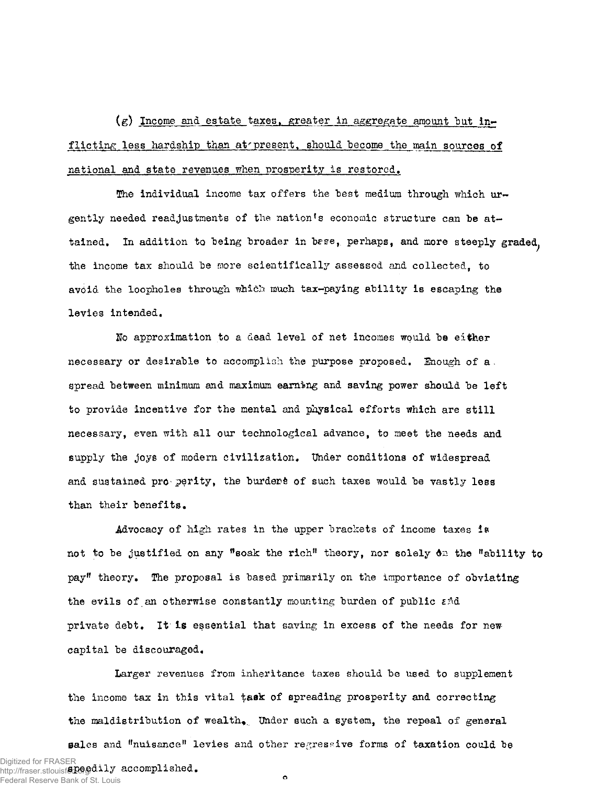(g) Income and estate taxes, greater in aggregate amount but inflicting less hardship than at present, should become the main sources of national and state revenues when prosperity is restored.

The individual income tax offers the best medium through which urgently needed readjustments of the nation's economic structure can be attained. In addition to being broader in bese, perhaps, and more steeply graded, the income tax should be more scientifically assessed and collected, to avoid the loopholes through which much tax-paying ability is escaping the levies intended.

No approximation to a dead level of net incomes would be either necessary or desirable to accomplish the purpose proposed. Enough of a. spread between minimum and maximum earning and saving power should be left to provide incentive for the mental and physical efforts which are still necessary, even with all our technological advance, to meet the needs and supply the joys of modern civilization. Under conditions of widespread and sustained propperity, the burdens of such taxes would be vastly less than their benefits.

Advocacy of high rates in the upper brackets of income taxes is not to be justified on any "soak the rich" theory, nor solely 6n the "ability to pay" theory, The proposal is based primarily on the importance of obviating the evils of an otherwise constantly mounting burden of public  $\varepsilon \triangleleft$ . private debt. It is essential that saving in excess of the needs for newcapital be discouraged.

Larger revenues from inheritance taxes should be used to supplement the income tax in this vital task of spreading prosperity and correcting the maldistribution of wealth. Under such a system, the repeal of general sales and "nuisance" levies and other regressive forms of taxation could be Digitized for FRASER<br>http://fraser.stlouisf**e.GGgd.ily accomplished.** http://fraser.stlouisfed.org/  $\bullet$ Federal Reserve Bank of St. Louis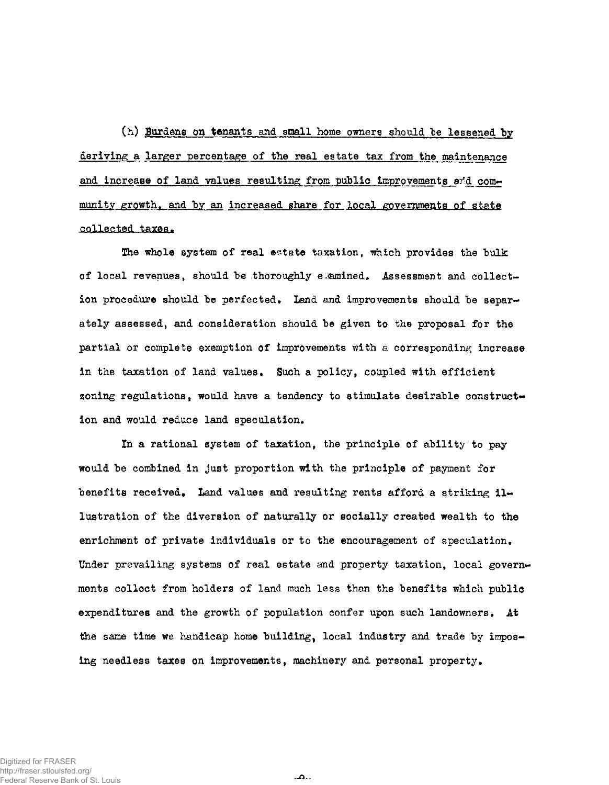(h) Burdens on tenants and small home owners should be lessened by deriving a larger percentage of the real estate tax from the maintenance and increase of land values resulting from public improvements and community growth, and by an increased share for local governments of state collected taxes.

The whole system of real estate taxation, which provides the bulk of local revenues, should be thoroughly examined. Assessment and collection procedure should be perfected. Land and improvements should be separately assessed, and consideration should be given to the proposal for the partial or complete exemption of improvements with a corresponding increase in the taxation of land values. Such a policy, coupled with efficient zoning regulations, would have a tendency to stimulate desirable construction and would reduce land speculation.

In a rational system of taxation, the principle of ability to pay would be combined in just proportion with the principle of payment for benefits received. Land values and resulting rents afford a striking illustration of the diversion of naturally or socially created wealth to the enrichment of private individuals or to the encouragement of speculation. Under prevailing systems of real estate and property taxation, local governments collect from holders of land much less than the benefits which public expenditures and the growth of population confer upon such landowners. At the same time we handicap home building, local industry and trade by imposing needless taxes on improvements, machinery and personal property.

للمب